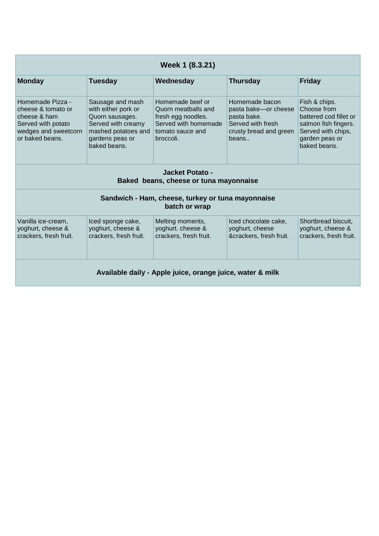| Week 1 (8.3.21)                                                                                                         |                                                                                                                                            |                                                                                                                        |                                                                                                               |                                                                                                                                        |  |  |  |  |
|-------------------------------------------------------------------------------------------------------------------------|--------------------------------------------------------------------------------------------------------------------------------------------|------------------------------------------------------------------------------------------------------------------------|---------------------------------------------------------------------------------------------------------------|----------------------------------------------------------------------------------------------------------------------------------------|--|--|--|--|
| <b>Monday</b>                                                                                                           | <b>Tuesday</b>                                                                                                                             | Wednesday                                                                                                              | <b>Thursday</b>                                                                                               | <b>Friday</b>                                                                                                                          |  |  |  |  |
| Homemade Pizza -<br>cheese & tomato or<br>cheese & ham<br>Served with potato<br>wedges and sweetcorn<br>or baked beans. | Sausage and mash<br>with either pork or<br>Quorn sausages.<br>Served with creamy<br>mashed potatoes and<br>gardens peas or<br>baked beans. | Homemade beef or<br>Quorn meatballs and<br>fresh egg noodles.<br>Served with homemade<br>tomato sauce and<br>broccoli. | Homemade bacon<br>pasta bake-or cheese<br>pasta bake.<br>Served with fresh<br>crusty bread and green<br>beans | Fish & chips.<br>Choose from<br>battered cod fillet or<br>salmon fish fingers.<br>Served with chips,<br>garden peas or<br>baked beans. |  |  |  |  |
| Jacket Potato -<br>Baked beans, cheese or tuna mayonnaise                                                               |                                                                                                                                            |                                                                                                                        |                                                                                                               |                                                                                                                                        |  |  |  |  |
| Sandwich - Ham, cheese, turkey or tuna mayonnaise<br>batch or wrap                                                      |                                                                                                                                            |                                                                                                                        |                                                                                                               |                                                                                                                                        |  |  |  |  |
| Vanilla ice-cream.<br>yoghurt, cheese &<br>crackers, fresh fruit.                                                       | Iced sponge cake,<br>yoghurt, cheese &<br>crackers, fresh fruit.                                                                           | Melting moments,<br>yoghurt. cheese &<br>crackers, fresh fruit.                                                        | Iced chocolate cake.<br>yoghurt, cheese<br>&crackers, fresh fruit.                                            | Shortbread biscuit,<br>yoghurt, cheese &<br>crackers, fresh fruit.                                                                     |  |  |  |  |
| Available daily - Apple juice, orange juice, water & milk                                                               |                                                                                                                                            |                                                                                                                        |                                                                                                               |                                                                                                                                        |  |  |  |  |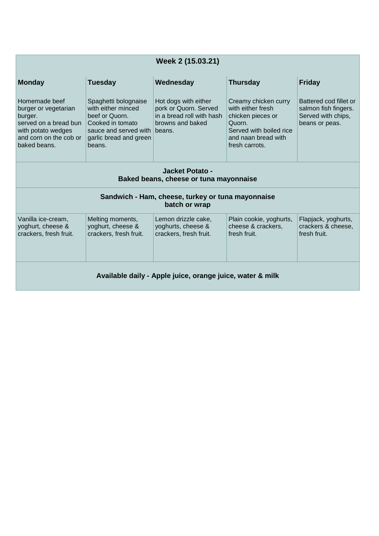| Week 2 (15.03.21)                                                                                                                         |                                                                                                                                                      |                                                                                                |                                                                                                                                              |                                                                                        |  |  |  |  |
|-------------------------------------------------------------------------------------------------------------------------------------------|------------------------------------------------------------------------------------------------------------------------------------------------------|------------------------------------------------------------------------------------------------|----------------------------------------------------------------------------------------------------------------------------------------------|----------------------------------------------------------------------------------------|--|--|--|--|
| <b>Monday</b>                                                                                                                             | <b>Tuesday</b>                                                                                                                                       | Wednesday                                                                                      | <b>Thursday</b>                                                                                                                              | <b>Friday</b>                                                                          |  |  |  |  |
| Homemade beef<br>burger or vegetarian<br>burger.<br>served on a bread bun<br>with potato wedges<br>and corn on the cob or<br>baked beans. | Spaghetti bolognaise<br>with either minced<br>beef or Quorn.<br>Cooked in tomato<br>sauce and served with beans.<br>garlic bread and green<br>beans. | Hot dogs with either<br>pork or Quorn. Served<br>in a bread roll with hash<br>browns and baked | Creamy chicken curry<br>with either fresh<br>chicken pieces or<br>Quorn.<br>Served with boiled rice<br>and naan bread with<br>fresh carrots. | Battered cod fillet or<br>salmon fish fingers.<br>Served with chips,<br>beans or peas. |  |  |  |  |
| Jacket Potato -<br>Baked beans, cheese or tuna mayonnaise                                                                                 |                                                                                                                                                      |                                                                                                |                                                                                                                                              |                                                                                        |  |  |  |  |
| Sandwich - Ham, cheese, turkey or tuna mayonnaise<br>batch or wrap                                                                        |                                                                                                                                                      |                                                                                                |                                                                                                                                              |                                                                                        |  |  |  |  |
| Vanilla ice-cream,<br>yoghurt, cheese &<br>crackers, fresh fruit.                                                                         | Melting moments,<br>yoghurt, cheese &<br>crackers, fresh fruit.                                                                                      | Lemon drizzle cake,<br>yoghurts, cheese &<br>crackers, fresh fruit.                            | Plain cookie, yoghurts,<br>cheese & crackers,<br>fresh fruit.                                                                                | Flapjack, yoghurts,<br>crackers & cheese.<br>fresh fruit.                              |  |  |  |  |
| Available daily - Apple juice, orange juice, water & milk                                                                                 |                                                                                                                                                      |                                                                                                |                                                                                                                                              |                                                                                        |  |  |  |  |